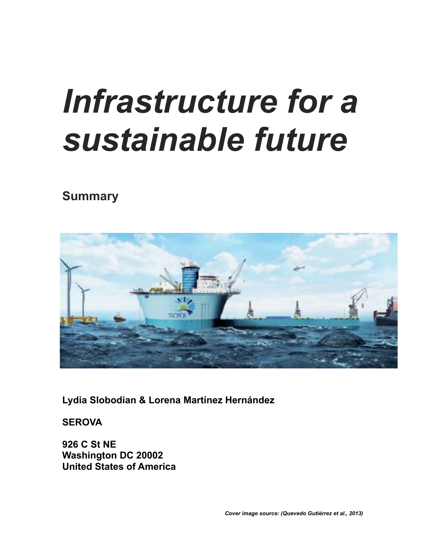# *Infrastructure for a sustainable future*

# **Summary**



**Lydia Slobodian & Lorena Martínez Hernández**

**SEROVA**

**926 C St NE Washington DC 20002 United States of America**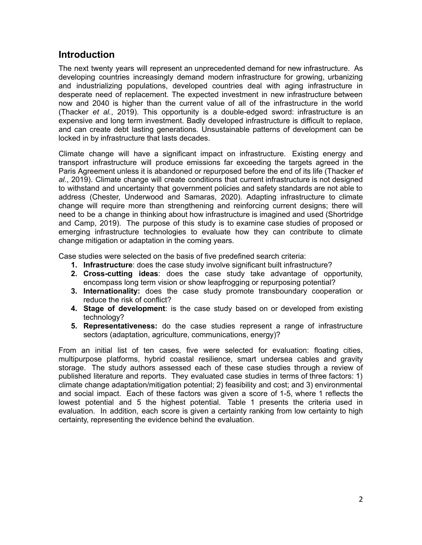#### **Introduction**

The next twenty years will represent an unprecedented demand for new infrastructure. As developing countries increasingly demand modern infrastructure for growing, urbanizing and industrializing populations, developed countries deal with aging infrastructure in desperate need of replacement. The expected investment in new infrastructure between now and 2040 is higher than the current value of all of the infrastructure in the world (Thacker *et al.*, 2019). This opportunity is a double-edged sword: infrastructure is an expensive and long term investment. Badly developed infrastructure is difficult to replace, and can create debt lasting generations. Unsustainable patterns of development can be locked in by infrastructure that lasts decades.

Climate change will have a significant impact on infrastructure. Existing energy and transport infrastructure will produce emissions far exceeding the targets agreed in the Paris Agreement unless it is abandoned or repurposed before the end of its life (Thacker *et al.*, 2019). Climate change will create conditions that current infrastructure is not designed to withstand and uncertainty that government policies and safety standards are not able to address (Chester, Underwood and Samaras, 2020). Adapting infrastructure to climate change will require more than strengthening and reinforcing current designs; there will need to be a change in thinking about how infrastructure is imagined and used (Shortridge and Camp, 2019). The purpose of this study is to examine case studies of proposed or emerging infrastructure technologies to evaluate how they can contribute to climate change mitigation or adaptation in the coming years.

Case studies were selected on the basis of five predefined search criteria:

- **1. Infrastructure**: does the case study involve significant built infrastructure?
- **2. Cross-cutting ideas**: does the case study take advantage of opportunity, encompass long term vision or show leapfrogging or repurposing potential?
- **3. Internationality:** does the case study promote transboundary cooperation or reduce the risk of conflict?
- **4. Stage of development**: is the case study based on or developed from existing technology?
- **5. Representativeness:** do the case studies represent a range of infrastructure sectors (adaptation, agriculture, communications, energy)?

From an initial list of ten cases, five were selected for evaluation: floating cities, multipurpose platforms, hybrid coastal resilience, smart undersea cables and gravity storage. The study authors assessed each of these case studies through a review of published literature and reports. They evaluated case studies in terms of three factors: 1) climate change adaptation/mitigation potential; 2) feasibility and cost; and 3) environmental and social impact. Each of these factors was given a score of 1-5, where 1 reflects the lowest potential and 5 the highest potential. Table 1 presents the criteria used in evaluation. In addition, each score is given a certainty ranking from low certainty to high certainty, representing the evidence behind the evaluation.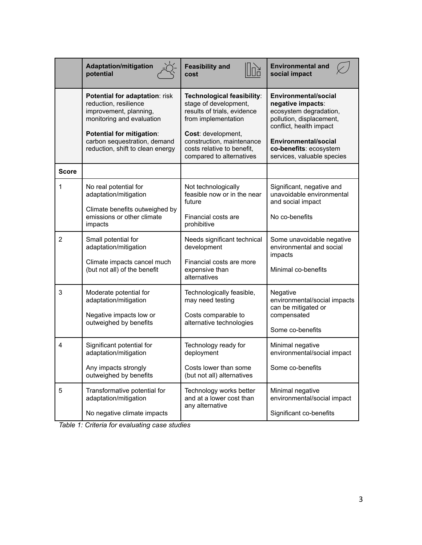|              | <b>Adaptation/mitigation</b><br>potential                                                                                                                                                                       | <b>Feasibility and</b><br>cost                                                                                                                                                                                         | <b>Environmental and</b><br>social impact                                                                                                                                                                  |  |
|--------------|-----------------------------------------------------------------------------------------------------------------------------------------------------------------------------------------------------------------|------------------------------------------------------------------------------------------------------------------------------------------------------------------------------------------------------------------------|------------------------------------------------------------------------------------------------------------------------------------------------------------------------------------------------------------|--|
|              | Potential for adaptation: risk<br>reduction, resilience<br>improvement, planning,<br>monitoring and evaluation<br>Potential for mitigation:<br>carbon sequestration, demand<br>reduction, shift to clean energy | Technological feasibility:<br>stage of development,<br>results of trials, evidence<br>from implementation<br>Cost: development,<br>construction, maintenance<br>costs relative to benefit,<br>compared to alternatives | Environmental/social<br>negative impacts:<br>ecosystem degradation,<br>pollution, displacement,<br>conflict, health impact<br>Environmental/social<br>co-benefits: ecosystem<br>services, valuable species |  |
| <b>Score</b> |                                                                                                                                                                                                                 |                                                                                                                                                                                                                        |                                                                                                                                                                                                            |  |
| 1            | No real potential for<br>adaptation/mitigation                                                                                                                                                                  | Not technologically<br>feasible now or in the near<br>future                                                                                                                                                           | Significant, negative and<br>unavoidable environmental<br>and social impact                                                                                                                                |  |
|              | Climate benefits outweighed by<br>emissions or other climate<br>impacts                                                                                                                                         | Financial costs are<br>prohibitive                                                                                                                                                                                     | No co-benefits                                                                                                                                                                                             |  |
| 2            | Small potential for<br>adaptation/mitigation                                                                                                                                                                    | Needs significant technical<br>development                                                                                                                                                                             | Some unavoidable negative<br>environmental and social<br>impacts                                                                                                                                           |  |
|              | Climate impacts cancel much<br>(but not all) of the benefit                                                                                                                                                     | Financial costs are more<br>expensive than<br>alternatives                                                                                                                                                             | Minimal co-benefits                                                                                                                                                                                        |  |
| 3            | Moderate potential for<br>adaptation/mitigation<br>Negative impacts low or<br>outweighed by benefits                                                                                                            | Technologically feasible,<br>may need testing<br>Costs comparable to<br>alternative technologies                                                                                                                       | Negative<br>environmental/social impacts<br>can be mitigated or<br>compensated                                                                                                                             |  |
|              |                                                                                                                                                                                                                 |                                                                                                                                                                                                                        | Some co-benefits                                                                                                                                                                                           |  |
| 4            | Significant potential for<br>adaptation/mitigation                                                                                                                                                              | Technology ready for<br>deployment                                                                                                                                                                                     | Minimal negative<br>environmental/social impact                                                                                                                                                            |  |
|              | Any impacts strongly<br>outweighed by benefits                                                                                                                                                                  | Costs lower than some<br>(but not all) alternatives                                                                                                                                                                    | Some co-benefits                                                                                                                                                                                           |  |
| 5            | Transformative potential for<br>adaptation/mitigation                                                                                                                                                           | Technology works better<br>and at a lower cost than<br>any alternative                                                                                                                                                 | Minimal negative<br>environmental/social impact                                                                                                                                                            |  |
|              | No negative climate impacts                                                                                                                                                                                     |                                                                                                                                                                                                                        | Significant co-benefits                                                                                                                                                                                    |  |

*Table 1: Criteria for evaluating case studies*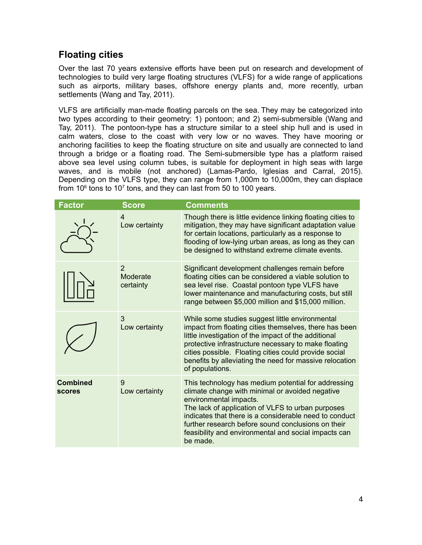### **Floating cities**

Over the last 70 years extensive efforts have been put on research and development of technologies to build very large floating structures (VLFS) for a wide range of applications such as airports, military bases, offshore energy plants and, more recently, urban settlements (Wang and Tay, 2011).

VLFS are artificially man-made floating parcels on the sea. They may be categorized into two types according to their geometry: 1) pontoon; and 2) semi-submersible (Wang and Tay, 2011). The pontoon-type has a structure similar to a steel ship hull and is used in calm waters, close to the coast with very low or no waves. They have mooring or anchoring facilities to keep the floating structure on site and usually are connected to land through a bridge or a floating road. The Semi-submersible type has a platform raised above sea level using column tubes, is suitable for deployment in high seas with large waves, and is mobile (not anchored) (Lamas-Pardo, Iglesias and Carral, 2015). Depending on the VLFS type, they can range from 1,000m to 10,000m, they can displace from 10 $\mathrm{^6}$  tons to 10<sup>7</sup> tons, and they can last from 50 to 100 years.

| <b>Factor</b>                    | <b>Score</b>                            | <b>Comments</b>                                                                                                                                                                                                                                                                                                                                                           |
|----------------------------------|-----------------------------------------|---------------------------------------------------------------------------------------------------------------------------------------------------------------------------------------------------------------------------------------------------------------------------------------------------------------------------------------------------------------------------|
|                                  | $\overline{4}$<br>Low certainty         | Though there is little evidence linking floating cities to<br>mitigation, they may have significant adaptation value<br>for certain locations, particularly as a response to<br>flooding of low-lying urban areas, as long as they can<br>be designed to withstand extreme climate events.                                                                                |
|                                  | $\overline{2}$<br>Moderate<br>certainty | Significant development challenges remain before<br>floating cities can be considered a viable solution to<br>sea level rise. Coastal pontoon type VLFS have<br>lower maintenance and manufacturing costs, but still<br>range between \$5,000 million and \$15,000 million.                                                                                               |
|                                  | 3<br>Low certainty                      | While some studies suggest little environmental<br>impact from floating cities themselves, there has been<br>little investigation of the impact of the additional<br>protective infrastructure necessary to make floating<br>cities possible. Floating cities could provide social<br>benefits by alleviating the need for massive relocation<br>of populations.          |
| <b>Combined</b><br><b>scores</b> | 9<br>Low certainty                      | This technology has medium potential for addressing<br>climate change with minimal or avoided negative<br>environmental impacts.<br>The lack of application of VLFS to urban purposes<br>indicates that there is a considerable need to conduct<br>further research before sound conclusions on their<br>feasibility and environmental and social impacts can<br>be made. |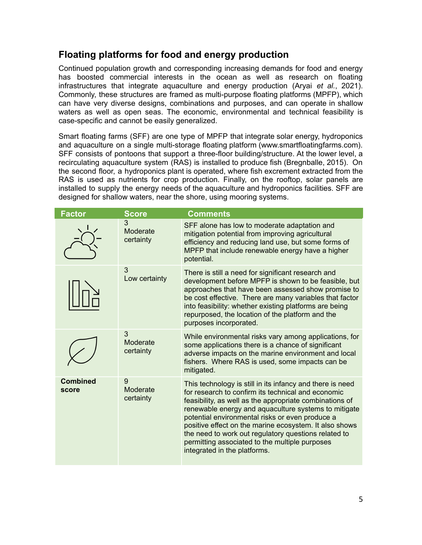## **Floating platforms for food and energy production**

Continued population growth and corresponding increasing demands for food and energy has boosted commercial interests in the ocean as well as research on floating infrastructures that integrate aquaculture and energy production (Aryai *et al.*, 2021). Commonly, these structures are framed as multi-purpose floating platforms (MPFP), which can have very diverse designs, combinations and purposes, and can operate in shallow waters as well as open seas. The economic, environmental and technical feasibility is case-specific and cannot be easily generalized.

Smart floating farms (SFF) are one type of MPFP that integrate solar energy, hydroponics and aquaculture on a single multi-storage floating platform (www.smartfloatingfarms.com). SFF consists of pontoons that support a three-floor building/structure. At the lower level, a recirculating aquaculture system (RAS) is installed to produce fish (Bregnballe, 2015). On the second floor, a hydroponics plant is operated, where fish excrement extracted from the RAS is used as nutrients for crop production. Finally, on the rooftop, solar panels are installed to supply the energy needs of the aquaculture and hydroponics facilities. SFF are designed for shallow waters, near the shore, using mooring systems.

| <b>Factor</b>            | <b>Score</b>               | <b>Comments</b>                                                                                                                                                                                                                                                                                                                                                                                                                                                                           |
|--------------------------|----------------------------|-------------------------------------------------------------------------------------------------------------------------------------------------------------------------------------------------------------------------------------------------------------------------------------------------------------------------------------------------------------------------------------------------------------------------------------------------------------------------------------------|
|                          | 3<br>Moderate<br>certainty | SFF alone has low to moderate adaptation and<br>mitigation potential from improving agricultural<br>efficiency and reducing land use, but some forms of<br>MPFP that include renewable energy have a higher<br>potential.                                                                                                                                                                                                                                                                 |
|                          | 3<br>Low certainty         | There is still a need for significant research and<br>development before MPFP is shown to be feasible, but<br>approaches that have been assessed show promise to<br>be cost effective. There are many variables that factor<br>into feasibility: whether existing platforms are being<br>repurposed, the location of the platform and the<br>purposes incorporated.                                                                                                                       |
|                          | 3<br>Moderate<br>certainty | While environmental risks vary among applications, for<br>some applications there is a chance of significant<br>adverse impacts on the marine environment and local<br>fishers. Where RAS is used, some impacts can be<br>mitigated.                                                                                                                                                                                                                                                      |
| <b>Combined</b><br>score | 9<br>Moderate<br>certainty | This technology is still in its infancy and there is need<br>for research to confirm its technical and economic<br>feasibility, as well as the appropriate combinations of<br>renewable energy and aquaculture systems to mitigate<br>potential environmental risks or even produce a<br>positive effect on the marine ecosystem. It also shows<br>the need to work out regulatory questions related to<br>permitting associated to the multiple purposes<br>integrated in the platforms. |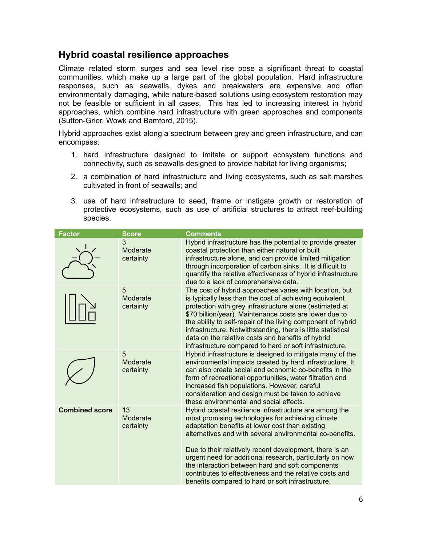#### **Hybrid coastal resilience approaches**

Climate related storm surges and sea level rise pose a significant threat to coastal communities, which make up a large part of the global population. Hard infrastructure responses, such as seawalls, dykes and breakwaters are expensive and often environmentally damaging, while nature-based solutions using ecosystem restoration may not be feasible or sufficient in all cases. This has led to increasing interest in hybrid approaches, which combine hard infrastructure with green approaches and components (Sutton-Grier, Wowk and Bamford, 2015).

Hybrid approaches exist along a spectrum between grey and green infrastructure, and can encompass:

- 1. hard infrastructure designed to imitate or support ecosystem functions and connectivity, such as seawalls designed to provide habitat for living organisms;
- 2. a combination of hard infrastructure and living ecosystems, such as salt marshes cultivated in front of seawalls; and
- 3. use of hard infrastructure to seed, frame or instigate growth or restoration of protective ecosystems, such as use of artificial structures to attract reef-building species.

| <b>Factor</b>         | <b>Score</b>                | <b>Comments</b>                                                                                                                                                                                                                                                                                                                                                                                                                                                                                                       |
|-----------------------|-----------------------------|-----------------------------------------------------------------------------------------------------------------------------------------------------------------------------------------------------------------------------------------------------------------------------------------------------------------------------------------------------------------------------------------------------------------------------------------------------------------------------------------------------------------------|
|                       | 3<br>Moderate<br>certainty  | Hybrid infrastructure has the potential to provide greater<br>coastal protection than either natural or built<br>infrastructure alone, and can provide limited mitigation<br>through incorporation of carbon sinks. It is difficult to<br>quantify the relative effectiveness of hybrid infrastructure<br>due to a lack of comprehensive data.                                                                                                                                                                        |
|                       | 5<br>Moderate<br>certainty  | The cost of hybrid approaches varies with location, but<br>is typically less than the cost of achieving equivalent<br>protection with grey infrastructure alone (estimated at<br>\$70 billion/year). Maintenance costs are lower due to<br>the ability to self-repair of the living component of hybrid<br>infrastructure. Notwithstanding, there is little statistical<br>data on the relative costs and benefits of hybrid<br>infrastructure compared to hard or soft infrastructure.                               |
|                       | 5<br>Moderate<br>certainty  | Hybrid infrastructure is designed to mitigate many of the<br>environmental impacts created by hard infrastructure. It<br>can also create social and economic co-benefits in the<br>form of recreational opportunities, water filtration and<br>increased fish populations. However, careful<br>consideration and design must be taken to achieve<br>these environmental and social effects.                                                                                                                           |
| <b>Combined score</b> | 13<br>Moderate<br>certainty | Hybrid coastal resilience infrastructure are among the<br>most promising technologies for achieving climate<br>adaptation benefits at lower cost than existing<br>alternatives and with several environmental co-benefits.<br>Due to their relatively recent development, there is an<br>urgent need for additional research, particularly on how<br>the interaction between hard and soft components<br>contributes to effectiveness and the relative costs and<br>benefits compared to hard or soft infrastructure. |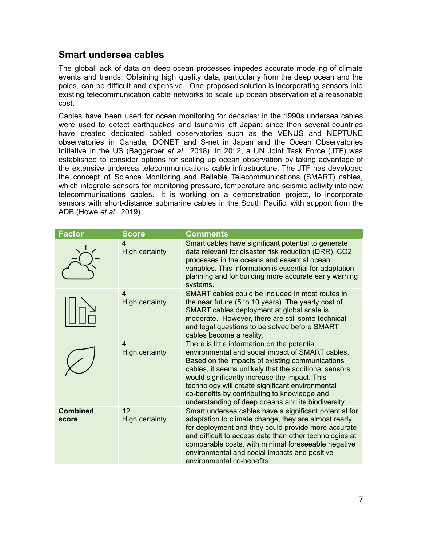#### **Smart undersea cables**

The global lack of data on deep ocean processes impedes accurate modeling of climate events and trends. Obtaining high quality data, particularly from the deep ocean and the poles, can be difficult and expensive. One proposed solution is incorporating sensors into existing telecommunication cable networks to scale up ocean observation at a reasonable cost.

Cables have been used for ocean monitoring for decades: in the 1990s undersea cables were used to detect earthquakes and tsunamis off Japan; since then several countries have created dedicated cabled observatories such as the VENUS and NEPTUNE observatories in Canada, DONET and S-net in Japan and the Ocean Observatories Initiative in the US (Baggeroer *et al.*, 2018). In 2012, a UN Joint Task Force (JTF) was established to consider options for scaling up ocean observation by taking advantage of the extensive undersea telecommunications cable infrastructure. The JTF has developed the concept of Science Monitoring and Reliable Telecommunications (SMART) cables, which integrate sensors for monitoring pressure, temperature and seismic activity into new telecommunications cables. It is working on a demonstration project, to incorporate sensors with short-distance submarine cables in the South Pacific, with support from the ADB (Howe *et al.*, 2019).

| <b>Factor</b>            | <b>Score</b>                            | Comments                                                                                                                                                                                                                                                                                                                                                                                                                |
|--------------------------|-----------------------------------------|-------------------------------------------------------------------------------------------------------------------------------------------------------------------------------------------------------------------------------------------------------------------------------------------------------------------------------------------------------------------------------------------------------------------------|
|                          | 4<br><b>High certainty</b>              | Smart cables have significant potential to generate<br>data relevant for disaster risk reduction (DRR), CO2<br>processes in the oceans and essential ocean<br>variables. This information is essential for adaptation<br>planning and for building more accurate early warning<br>systems.                                                                                                                              |
|                          | $\overline{4}$<br><b>High certainty</b> | SMART cables could be included in most routes in<br>the near future (5 to 10 years). The yearly cost of<br>SMART cables deployment at global scale is<br>moderate. However, there are still some technical<br>and legal questions to be solved before SMART<br>cables become a reality.                                                                                                                                 |
|                          | $\overline{4}$<br><b>High certainty</b> | There is little information on the potential<br>environmental and social impact of SMART cables.<br>Based on the impacts of existing communications<br>cables, it seems unlikely that the additional sensors<br>would significantly increase the impact. This<br>technology will create significant environmental<br>co-benefits by contributing to knowledge and<br>understanding of deep oceans and its biodiversity. |
| <b>Combined</b><br>score | 12<br><b>High certainty</b>             | Smart undersea cables have a significant potential for<br>adaptation to climate change, they are almost ready<br>for deployment and they could provide more accurate<br>and difficult to access data than other technologies at<br>comparable costs, with minimal foreseeable negative<br>environmental and social impacts and positive<br>environmental co-benefits.                                                   |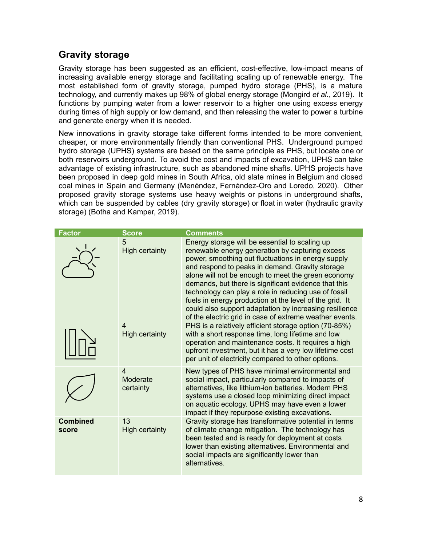#### **Gravity storage**

Gravity storage has been suggested as an efficient, cost-effective, low-impact means of increasing available energy storage and facilitating scaling up of renewable energy. The most established form of gravity storage, pumped hydro storage (PHS), is a mature technology, and currently makes up 98% of global energy storage (Mongird *et al.*, 2019). It functions by pumping water from a lower reservoir to a higher one using excess energy during times of high supply or low demand, and then releasing the water to power a turbine and generate energy when it is needed.

New innovations in gravity storage take different forms intended to be more convenient, cheaper, or more environmentally friendly than conventional PHS. Underground pumped hydro storage (UPHS) systems are based on the same principle as PHS, but locate one or both reservoirs underground. To avoid the cost and impacts of excavation, UPHS can take advantage of existing infrastructure, such as abandoned mine shafts. UPHS projects have been proposed in deep gold mines in South Africa, old slate mines in Belgium and closed coal mines in Spain and Germany (Menéndez, Fernández-Oro and Loredo, 2020). Other proposed gravity storage systems use heavy weights or pistons in underground shafts, which can be suspended by cables (dry gravity storage) or float in water (hydraulic gravity storage) (Botha and Kamper, 2019).

| <b>Factor</b>            | <b>Score</b>                            | <b>Comments</b>                                                                                                                                                                                                                                                                                                                                                                                                                                                                                                                                                  |
|--------------------------|-----------------------------------------|------------------------------------------------------------------------------------------------------------------------------------------------------------------------------------------------------------------------------------------------------------------------------------------------------------------------------------------------------------------------------------------------------------------------------------------------------------------------------------------------------------------------------------------------------------------|
|                          | 5<br><b>High certainty</b>              | Energy storage will be essential to scaling up<br>renewable energy generation by capturing excess<br>power, smoothing out fluctuations in energy supply<br>and respond to peaks in demand. Gravity storage<br>alone will not be enough to meet the green economy<br>demands, but there is significant evidence that this<br>technology can play a role in reducing use of fossil<br>fuels in energy production at the level of the grid. It<br>could also support adaptation by increasing resilience<br>of the electric grid in case of extreme weather events. |
|                          | 4<br><b>High certainty</b>              | PHS is a relatively efficient storage option (70-85%)<br>with a short response time, long lifetime and low<br>operation and maintenance costs. It requires a high<br>upfront investment, but it has a very low lifetime cost<br>per unit of electricity compared to other options.                                                                                                                                                                                                                                                                               |
|                          | $\overline{4}$<br>Moderate<br>certainty | New types of PHS have minimal environmental and<br>social impact, particularly compared to impacts of<br>alternatives, like lithium-ion batteries. Modern PHS<br>systems use a closed loop minimizing direct impact<br>on aquatic ecology. UPHS may have even a lower<br>impact if they repurpose existing excavations.                                                                                                                                                                                                                                          |
| <b>Combined</b><br>score | 13<br><b>High certainty</b>             | Gravity storage has transformative potential in terms<br>of climate change mitigation. The technology has<br>been tested and is ready for deployment at costs<br>lower than existing alternatives. Environmental and<br>social impacts are significantly lower than<br>alternatives.                                                                                                                                                                                                                                                                             |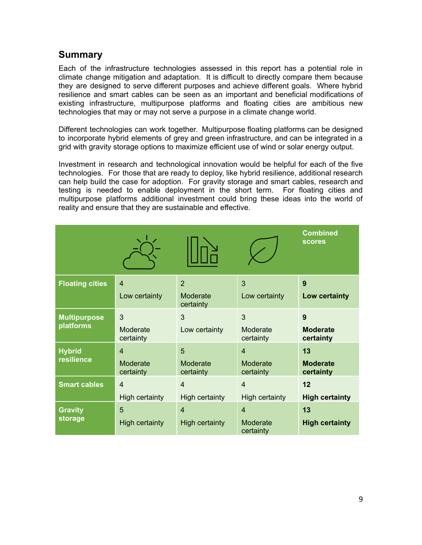#### **Summary**

Each of the infrastructure technologies assessed in this report has a potential role in climate change mitigation and adaptation. It is difficult to directly compare them because they are designed to serve different purposes and achieve different goals. Where hybrid resilience and smart cables can be seen as an important and beneficial modifications of existing infrastructure, multipurpose platforms and floating cities are ambitious new technologies that may or may not serve a purpose in a climate change world.

Different technologies can work together. Multipurpose floating platforms can be designed to incorporate hybrid elements of grey and green infrastructure, and can be integrated in a grid with gravity storage options to maximize efficient use of wind or solar energy output.

Investment in research and technological innovation would be helpful for each of the five technologies. For those that are ready to deploy, like hybrid resilience, additional research can help build the case for adoption. For gravity storage and smart cables, research and testing is needed to enable deployment in the short term. For floating cities and multipurpose platforms additional investment could bring these ideas into the world of reality and ensure that they are sustainable and effective.

|                        |                       |                       |                       | <b>Combined</b><br><b>scores</b> |
|------------------------|-----------------------|-----------------------|-----------------------|----------------------------------|
| <b>Floating cities</b> | $\overline{4}$        | $\overline{2}$        | 3                     | 9                                |
|                        | Low certainty         | Moderate<br>certainty | Low certainty         | Low certainty                    |
| <b>Multipurpose</b>    | 3                     | 3                     | 3                     | 9                                |
| platforms              | Moderate<br>certainty | Low certainty         | Moderate<br>certainty | <b>Moderate</b><br>certainty     |
| <b>Hybrid</b>          | $\overline{4}$        | 5                     | $\overline{4}$        | 13                               |
| resilience             | Moderate<br>certainty | Moderate<br>certainty | Moderate<br>certainty | <b>Moderate</b><br>certainty     |
| <b>Smart cables</b>    | $\overline{4}$        | $\overline{4}$        | $\overline{4}$        | 12                               |
|                        | <b>High certainty</b> | <b>High certainty</b> | <b>High certainty</b> | <b>High certainty</b>            |
| <b>Gravity</b>         | 5                     | $\overline{4}$        | $\overline{4}$        | 13                               |
| storage                | <b>High certainty</b> | <b>High certainty</b> | Moderate<br>certainty | <b>High certainty</b>            |